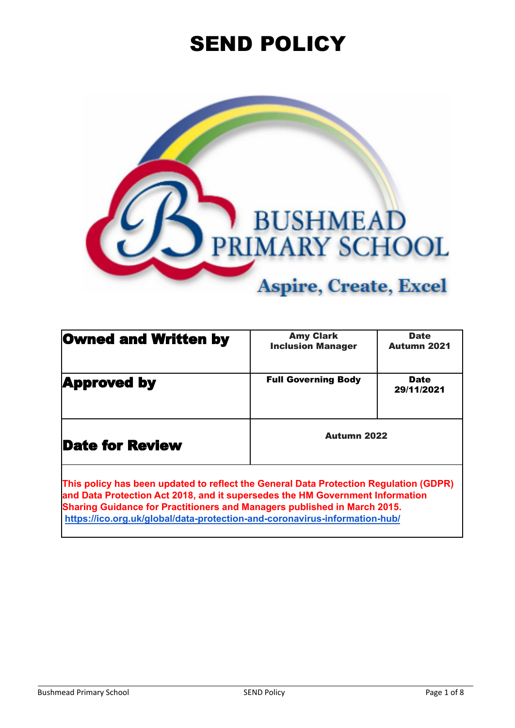# SEND POLICY



| <b>Owned and Written by</b>                                                                                                                                            | <b>Amy Clark</b><br><b>Inclusion Manager</b> | <b>Date</b><br><b>Autumn 2021</b> |
|------------------------------------------------------------------------------------------------------------------------------------------------------------------------|----------------------------------------------|-----------------------------------|
| <b>Approved by</b>                                                                                                                                                     | <b>Full Governing Body</b>                   | <b>Date</b><br>29/11/2021         |
| <b>Date for Review</b>                                                                                                                                                 | <b>Autumn 2022</b>                           |                                   |
| This policy has been updated to reflect the General Data Protection Regulation (GDPR)<br>and Data Protoction Act 2018, and it supersedes the HM Government Information |                                              |                                   |

**and Data Protection Act 2018, and it supersedes the HM Government Information Sharing Guidance for Practitioners and Managers published in March 2015. <https://ico.org.uk/global/data-protection-and-coronavirus-information-hub/>**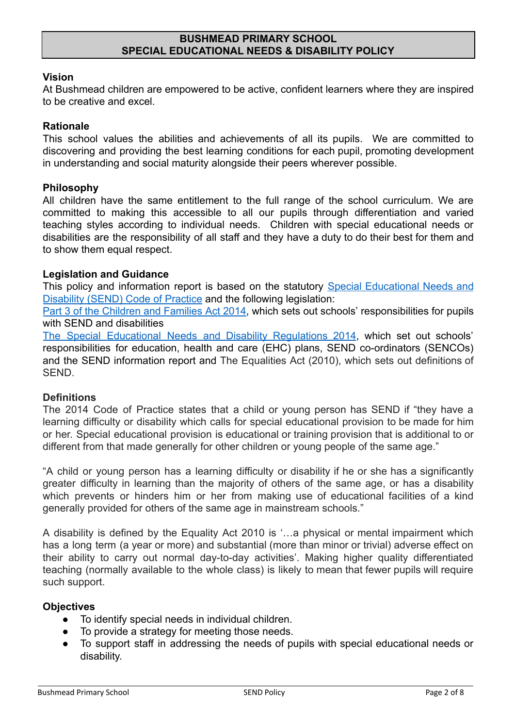## **BUSHMEAD PRIMARY SCHOOL SPECIAL EDUCATIONAL NEEDS & DISABILITY POLICY**

### **Vision**

At Bushmead children are empowered to be active, confident learners where they are inspired to be creative and excel.

#### **Rationale**

This school values the abilities and achievements of all its pupils. We are committed to discovering and providing the best learning conditions for each pupil, promoting development in understanding and social maturity alongside their peers wherever possible.

#### **Philosophy**

All children have the same entitlement to the full range of the school curriculum. We are committed to making this accessible to all our pupils through differentiation and varied teaching styles according to individual needs. Children with special educational needs or disabilities are the responsibility of all staff and they have a duty to do their best for them and to show them equal respect.

#### **Legislation and Guidance**

This policy and information report is based on the statutory Special [Educational](https://www.gov.uk/government/uploads/system/uploads/attachment_data/file/398815/SEND_Code_of_Practice_January_2015.pdf) Needs and [Disability \(SEND\) Code of Practice](https://www.gov.uk/government/uploads/system/uploads/attachment_data/file/398815/SEND_Code_of_Practice_January_2015.pdf) and the following legislation:

Part 3 of the [Children](http://www.legislation.gov.uk/ukpga/2014/6/part/3) and Families Act 2014, which sets out schools' responsibilities for pupils with SEND and disabilities

The Special Educational Needs and Disability [Regulations](http://www.legislation.gov.uk/uksi/2014/1530/contents/made) 2014, which set out schools' responsibilities for education, health and care (EHC) plans, SEND co-ordinators (SENCOs) and the SEND information report and The Equalities Act (2010), which sets out definitions of SEND.

#### **Definitions**

The 2014 Code of Practice states that a child or young person has SEND if "they have a learning difficulty or disability which calls for special educational provision to be made for him or her. Special educational provision is educational or training provision that is additional to or different from that made generally for other children or young people of the same age."

"A child or young person has a learning difficulty or disability if he or she has a significantly greater difficulty in learning than the majority of others of the same age, or has a disability which prevents or hinders him or her from making use of educational facilities of a kind generally provided for others of the same age in mainstream schools."

A disability is defined by the Equality Act 2010 is '…a physical or mental impairment which has a long term (a year or more) and substantial (more than minor or trivial) adverse effect on their ability to carry out normal day-to-day activities'. Making higher quality differentiated teaching (normally available to the whole class) is likely to mean that fewer pupils will require such support.

#### **Objectives**

- To identify special needs in individual children.
- To provide a strategy for meeting those needs.
- To support staff in addressing the needs of pupils with special educational needs or disability.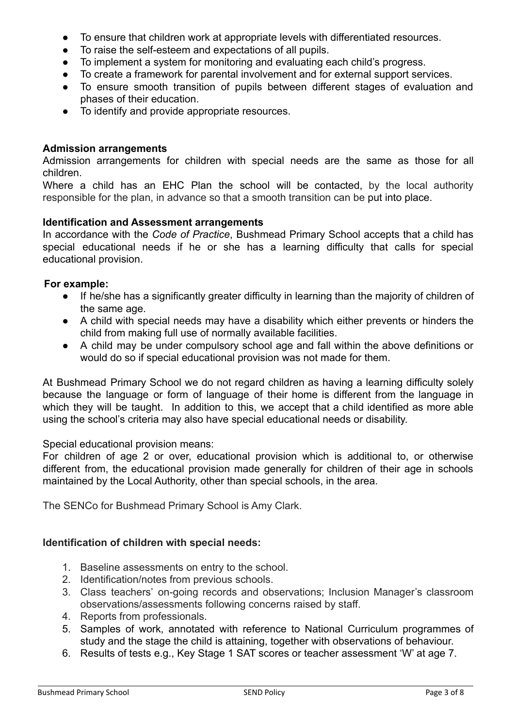- To ensure that children work at appropriate levels with differentiated resources.
- To raise the self-esteem and expectations of all pupils.
- To implement a system for monitoring and evaluating each child's progress.
- To create a framework for parental involvement and for external support services.
- To ensure smooth transition of pupils between different stages of evaluation and phases of their education.
- To identify and provide appropriate resources.

### **Admission arrangements**

Admission arrangements for children with special needs are the same as those for all children.

Where a child has an EHC Plan the school will be contacted, by the local authority responsible for the plan, in advance so that a smooth transition can be put into place.

#### **Identification and Assessment arrangements**

In accordance with the *Code of Practice*, Bushmead Primary School accepts that a child has special educational needs if he or she has a learning difficulty that calls for special educational provision.

#### **For example:**

- If he/she has a significantly greater difficulty in learning than the majority of children of the same age.
- A child with special needs may have a disability which either prevents or hinders the child from making full use of normally available facilities.
- A child may be under compulsory school age and fall within the above definitions or would do so if special educational provision was not made for them.

At Bushmead Primary School we do not regard children as having a learning difficulty solely because the language or form of language of their home is different from the language in which they will be taught. In addition to this, we accept that a child identified as more able using the school's criteria may also have special educational needs or disability.

Special educational provision means:

For children of age 2 or over, educational provision which is additional to, or otherwise different from, the educational provision made generally for children of their age in schools maintained by the Local Authority, other than special schools, in the area.

The SENCo for Bushmead Primary School is Amy Clark.

## **Identification of children with special needs:**

- 1. Baseline assessments on entry to the school.
- 2. Identification/notes from previous schools.
- 3. Class teachers' on-going records and observations; Inclusion Manager's classroom observations/assessments following concerns raised by staff.
- 4. Reports from professionals.
- 5. Samples of work, annotated with reference to National Curriculum programmes of study and the stage the child is attaining, together with observations of behaviour.
- 6. Results of tests e.g., Key Stage 1 SAT scores or teacher assessment 'W' at age 7.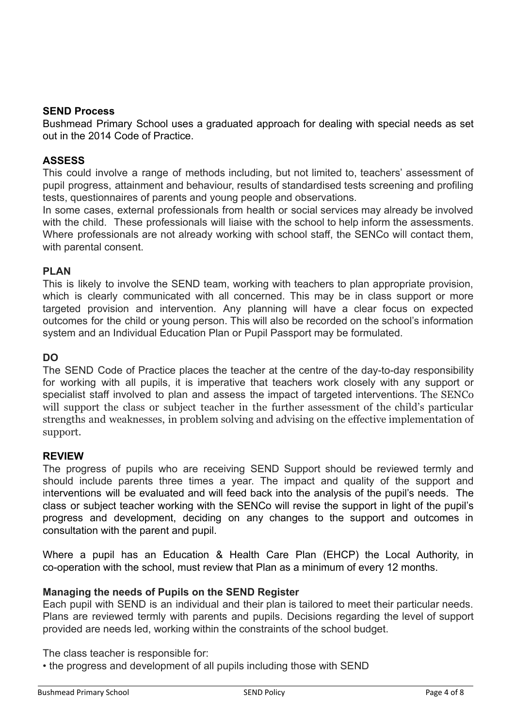#### **SEND Process**

Bushmead Primary School uses a graduated approach for dealing with special needs as set out in the 2014 Code of Practice.

### **ASSESS**

This could involve a range of methods including, but not limited to, teachers' assessment of pupil progress, attainment and behaviour, results of standardised tests screening and profiling tests, questionnaires of parents and young people and observations.

In some cases, external professionals from health or social services may already be involved with the child. These professionals will liaise with the school to help inform the assessments. Where professionals are not already working with school staff, the SENCo will contact them, with parental consent.

#### **PLAN**

This is likely to involve the SEND team, working with teachers to plan appropriate provision, which is clearly communicated with all concerned. This may be in class support or more targeted provision and intervention. Any planning will have a clear focus on expected outcomes for the child or young person. This will also be recorded on the school's information system and an Individual Education Plan or Pupil Passport may be formulated.

## **DO**

The SEND Code of Practice places the teacher at the centre of the day-to-day responsibility for working with all pupils, it is imperative that teachers work closely with any support or specialist staff involved to plan and assess the impact of targeted interventions. The SENCo will support the class or subject teacher in the further assessment of the child's particular strengths and weaknesses, in problem solving and advising on the effective implementation of support.

#### **REVIEW**

The progress of pupils who are receiving SEND Support should be reviewed termly and should include parents three times a year. The impact and quality of the support and interventions will be evaluated and will feed back into the analysis of the pupil's needs. The class or subject teacher working with the SENCo will revise the support in light of the pupil's progress and development, deciding on any changes to the support and outcomes in consultation with the parent and pupil.

Where a pupil has an Education & Health Care Plan (EHCP) the Local Authority, in co-operation with the school, must review that Plan as a minimum of every 12 months.

## **Managing the needs of Pupils on the SEND Register**

Each pupil with SEND is an individual and their plan is tailored to meet their particular needs. Plans are reviewed termly with parents and pupils. Decisions regarding the level of support provided are needs led, working within the constraints of the school budget.

The class teacher is responsible for:

• the progress and development of all pupils including those with SEND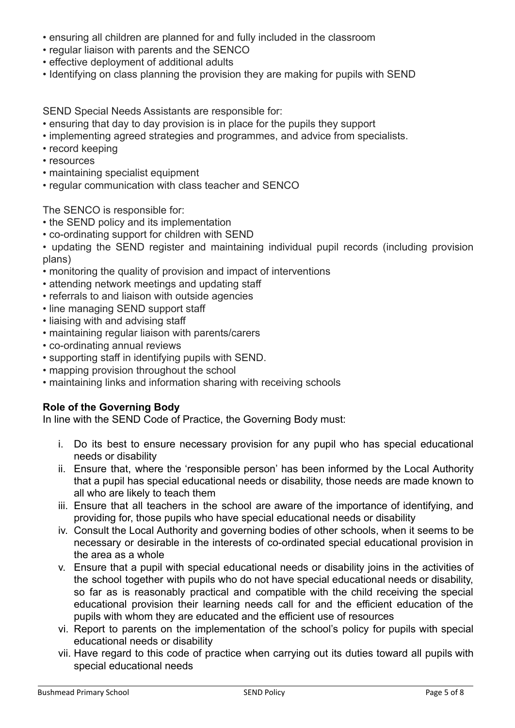- ensuring all children are planned for and fully included in the classroom
- regular liaison with parents and the SENCO
- effective deployment of additional adults
- Identifying on class planning the provision they are making for pupils with SEND

SEND Special Needs Assistants are responsible for:

- ensuring that day to day provision is in place for the pupils they support
- implementing agreed strategies and programmes, and advice from specialists.
- record keeping
- resources
- maintaining specialist equipment
- regular communication with class teacher and SENCO

The SENCO is responsible for:

- the SEND policy and its implementation
- co-ordinating support for children with SEND
- updating the SEND register and maintaining individual pupil records (including provision plans)
- monitoring the quality of provision and impact of interventions
- attending network meetings and updating staff
- referrals to and liaison with outside agencies
- line managing SEND support staff
- liaising with and advising staff
- maintaining regular liaison with parents/carers
- co-ordinating annual reviews
- supporting staff in identifying pupils with SEND.
- mapping provision throughout the school
- maintaining links and information sharing with receiving schools

# **Role of the Governing Body**

In line with the SEND Code of Practice, the Governing Body must:

- i. Do its best to ensure necessary provision for any pupil who has special educational needs or disability
- ii. Ensure that, where the 'responsible person' has been informed by the Local Authority that a pupil has special educational needs or disability, those needs are made known to all who are likely to teach them
- iii. Ensure that all teachers in the school are aware of the importance of identifying, and providing for, those pupils who have special educational needs or disability
- iv. Consult the Local Authority and governing bodies of other schools, when it seems to be necessary or desirable in the interests of co-ordinated special educational provision in the area as a whole
- v. Ensure that a pupil with special educational needs or disability joins in the activities of the school together with pupils who do not have special educational needs or disability, so far as is reasonably practical and compatible with the child receiving the special educational provision their learning needs call for and the efficient education of the pupils with whom they are educated and the efficient use of resources
- vi. Report to parents on the implementation of the school's policy for pupils with special educational needs or disability
- vii. Have regard to this code of practice when carrying out its duties toward all pupils with special educational needs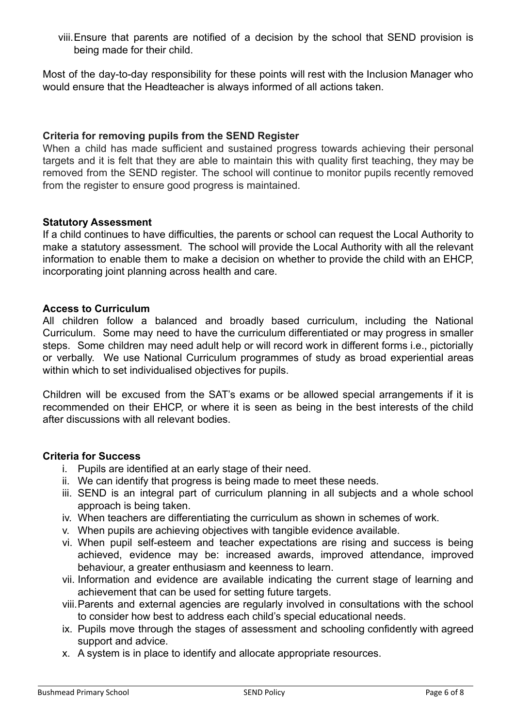viii.Ensure that parents are notified of a decision by the school that SEND provision is being made for their child.

Most of the day-to-day responsibility for these points will rest with the Inclusion Manager who would ensure that the Headteacher is always informed of all actions taken.

## **Criteria for removing pupils from the SEND Register**

When a child has made sufficient and sustained progress towards achieving their personal targets and it is felt that they are able to maintain this with quality first teaching, they may be removed from the SEND register. The school will continue to monitor pupils recently removed from the register to ensure good progress is maintained.

## **Statutory Assessment**

If a child continues to have difficulties, the parents or school can request the Local Authority to make a statutory assessment. The school will provide the Local Authority with all the relevant information to enable them to make a decision on whether to provide the child with an EHCP, incorporating joint planning across health and care.

#### **Access to Curriculum**

All children follow a balanced and broadly based curriculum, including the National Curriculum. Some may need to have the curriculum differentiated or may progress in smaller steps. Some children may need adult help or will record work in different forms i.e., pictorially or verbally. We use National Curriculum programmes of study as broad experiential areas within which to set individualised objectives for pupils.

Children will be excused from the SAT's exams or be allowed special arrangements if it is recommended on their EHCP, or where it is seen as being in the best interests of the child after discussions with all relevant bodies.

## **Criteria for Success**

- i. Pupils are identified at an early stage of their need.
- ii. We can identify that progress is being made to meet these needs.
- iii. SEND is an integral part of curriculum planning in all subjects and a whole school approach is being taken.
- iv. When teachers are differentiating the curriculum as shown in schemes of work.
- v. When pupils are achieving objectives with tangible evidence available.
- vi. When pupil self-esteem and teacher expectations are rising and success is being achieved, evidence may be: increased awards, improved attendance, improved behaviour, a greater enthusiasm and keenness to learn.
- vii. Information and evidence are available indicating the current stage of learning and achievement that can be used for setting future targets.
- viii.Parents and external agencies are regularly involved in consultations with the school to consider how best to address each child's special educational needs.
- ix. Pupils move through the stages of assessment and schooling confidently with agreed support and advice.
- x. A system is in place to identify and allocate appropriate resources.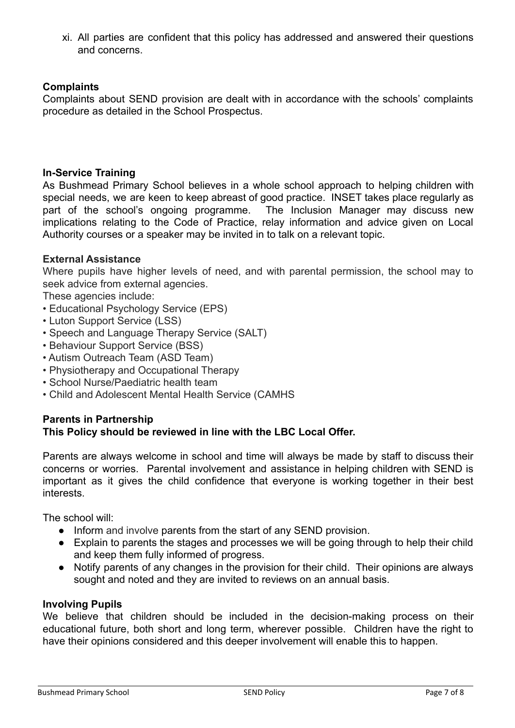xi. All parties are confident that this policy has addressed and answered their questions and concerns.

## **Complaints**

Complaints about SEND provision are dealt with in accordance with the schools' complaints procedure as detailed in the School Prospectus.

## **In-Service Training**

As Bushmead Primary School believes in a whole school approach to helping children with special needs, we are keen to keep abreast of good practice. INSET takes place regularly as part of the school's ongoing programme. The Inclusion Manager may discuss new implications relating to the Code of Practice, relay information and advice given on Local Authority courses or a speaker may be invited in to talk on a relevant topic.

## **External Assistance**

Where pupils have higher levels of need, and with parental permission, the school may to seek advice from external agencies.

These agencies include:

- Educational Psychology Service (EPS)
- Luton Support Service (LSS)
- Speech and Language Therapy Service (SALT)
- Behaviour Support Service (BSS)
- Autism Outreach Team (ASD Team)
- Physiotherapy and Occupational Therapy
- School Nurse/Paediatric health team
- Child and Adolescent Mental Health Service (CAMHS

# **Parents in Partnership**

# **This Policy should be reviewed in line with the LBC Local Offer.**

Parents are always welcome in school and time will always be made by staff to discuss their concerns or worries. Parental involvement and assistance in helping children with SEND is important as it gives the child confidence that everyone is working together in their best interests.

The school will:

- Inform and involve parents from the start of any SEND provision.
- Explain to parents the stages and processes we will be going through to help their child and keep them fully informed of progress.
- Notify parents of any changes in the provision for their child. Their opinions are always sought and noted and they are invited to reviews on an annual basis.

# **Involving Pupils**

We believe that children should be included in the decision-making process on their educational future, both short and long term, wherever possible. Children have the right to have their opinions considered and this deeper involvement will enable this to happen.